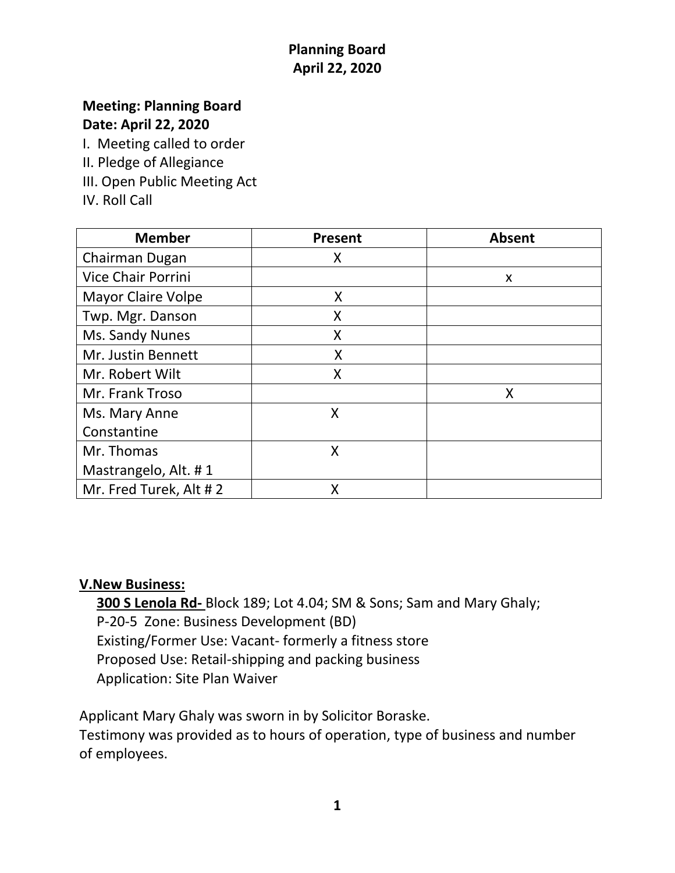## **Planning Board April 22, 2020**

# **Meeting: Planning Board**

**Date: April 22, 2020**

I. Meeting called to order

II. Pledge of Allegiance

III. Open Public Meeting Act

IV. Roll Call

| <b>Member</b>             | <b>Present</b> | <b>Absent</b> |
|---------------------------|----------------|---------------|
| Chairman Dugan            | X              |               |
| <b>Vice Chair Porrini</b> |                | X             |
| <b>Mayor Claire Volpe</b> | X              |               |
| Twp. Mgr. Danson          | X              |               |
| Ms. Sandy Nunes           | Χ              |               |
| Mr. Justin Bennett        | X              |               |
| Mr. Robert Wilt           | X              |               |
| Mr. Frank Troso           |                | X             |
| Ms. Mary Anne             | X              |               |
| Constantine               |                |               |
| Mr. Thomas                | X              |               |
| Mastrangelo, Alt. #1      |                |               |
| Mr. Fred Turek, Alt #2    | X              |               |

#### **V.New Business:**

 **300 S Lenola Rd-** Block 189; Lot 4.04; SM & Sons; Sam and Mary Ghaly; P-20-5 Zone: Business Development (BD) Existing/Former Use: Vacant- formerly a fitness store Proposed Use: Retail-shipping and packing business Application: Site Plan Waiver

Applicant Mary Ghaly was sworn in by Solicitor Boraske.

Testimony was provided as to hours of operation, type of business and number of employees.